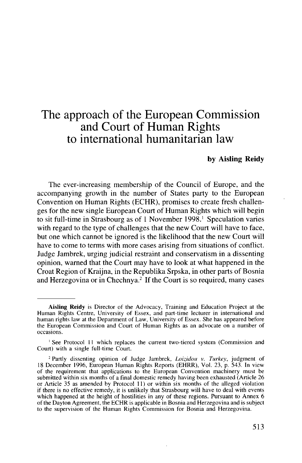# The approach of the European Commission and Court of Human Rights to international humanitarian law

#### **by Aisling Reidy**

The ever-increasing membership of the Council of Europe, and the accompanying growth in the number of States party to the European Convention on Human Rights (ECHR), promises to create fresh challenges for the new single European Court of Human Rights which will begin to sit full-time in Strasbourg as of 1 November 1998.<sup>1</sup> Speculation varies with regard to the type of challenges that the new Court will have to face, but one which cannot be ignored is the likelihood that the new Court will have to come to terms with more cases arising from situations of conflict. Judge Jambrek, urging judicial restraint and conservatism in a dissenting opinion, warned that the Court may have to look at what happened in the Croat Region of Kraijna, in the Republika Srpska, in other parts of Bosnia and Herzegovina or in Chechnya.<sup>2</sup> If the Court is so required, many cases

**Aisling Reidy** is Director of the Advocacy, Training and Education Project at the Human Rights Centre, University of Essex, and part-time lecturer in international and human rights law at the Department of Law, University of Essex. She has appeared before the European Commission and Court of Human Rights as an advocate on a number of occasions.

<sup>&</sup>lt;sup>1</sup> See Protocol 11 which replaces the current two-tiered system (Commission and Court) with a single full-time Court.

<sup>2</sup> Partly dissenting opinion of Judge Jambrek, *Loizidou v. Turkey,* judgment of 18 December 1996, European Human Rights Reports (EHRR), Vol. 23, p. 543. In view of the requirement that applications to the European Convention machinery must be submitted within six months of a final domestic remedy having been exhausted (Article 26 or Article 35 as amended by Protocol 11) or within six months of the alleged violation if there is no effective remedy, it is unlikely that Strasbourg will have to deal with events which happened at the height of hostilities in any of these regions. Pursuant to Annex 6 of the Dayton Agreement, the ECHR is applicable in Bosnia and Herzegovina and is subject to the supervision of the Human Rights Commission for Bosnia and Herzegovina.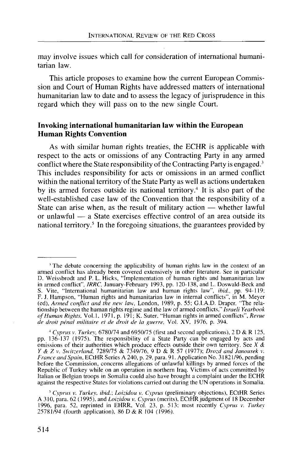may involve issues which call for consideration of international humanitarian law.

This article proposes to examine how the current European Commission and Court of Human Rights have addressed matters of international humanitarian law to date and to assess the legacy of jurisprudence in this regard which they will pass on to the new single Court.

# **Invoking international humanitarian law within the European Human Rights Convention**

As with similar human rights treaties, the ECHR is applicable with respect to the acts or omissions of any Contracting Party in any armed conflict where the State responsibility of the Contracting Party is engaged.<sup>3</sup> This includes responsibility for acts or omissions in an armed conflict within the national territory of the State Party as well as actions undertaken by its armed forces outside its national territory.<sup>4</sup> It is also part of the well-established case law of the Convention that the responsibility of a State can arise when, as the result of military action — whether lawful or unlawful — a State exercises effective control of an area outside its national territory.<sup>5</sup> In the foregoing situations, the guarantees provided by

<sup>&</sup>lt;sup>3</sup> The debate concerning the applicability of human rights law in the context of an armed conflict has already been covered extensively in other literature. See in particular D. Weissbrodt and P. L. Hicks, "Implementation of human rights and humanitarian law in armed conflict", *IRRC,* January-February 1993, pp. 120-138, and L. Doswald-Beck and S. Vite, "International humanitarian law and human rights law", *ibid.,* pp. 94-119; F. J. Hampson, "Human rights and humanitarian law in internal conflicts", in M. Meyer (ed), *Armed conflict and the new law,* London, 1989, p. 55; G.I.A.D. Draper, "The relationship between the human rights regime and the law of armed conflicts," *Israeli Yearbook of Human Rights,* Vol.1, 1971, p. 191; K. Suter, "Human rights in armed conflicts", *Revue de droit penal militaire et de droit de la guerre,* Vol. XV. 1976, p. 394.

<sup>&</sup>lt;sup>4</sup> Cyprus v. Turkey, 6780/74 and 6950/75 (first and second applications), 2 D & R 125, pp. 136-137 (1975). The responsibility of a State Party can be engaged by acts and omissions of their authorities which produce effects outside their own territory. See *X & Y & Zv. Switzerland,* 7289/75 & 7349/76, 9 D & R 57 (1977); *Drozd and Janousek v. France and Spain,* ECtHR Series A 240, p. 29, para. 91. Application No. 31821/96, pending before the Commission, concerns allegations of unlawful killings by armed forces of the Republic of Turkey while on an operation in northern Iraq. Victims of acts committed by Italian or Belgian troops in Somalia could also have brought a complaint under the ECHR against the respective States for violations carried out during the UN operations in Somalia.

<sup>5</sup>  *Cyprus v. Turkey, ibid.; Loizidou v. Cyprus* (preliminary objections), ECtHR Series A 310, para. 62 (1995), and *Loizidou v. Cyprus* (merits), ECtHR judgment of 18 December 1996, para. 52, reprinted in EHRR, Vol. 23, p. 513; most recently *Cyprus v. Turkey* 25781/94 (fourth application), 86 D & R 104 (1996).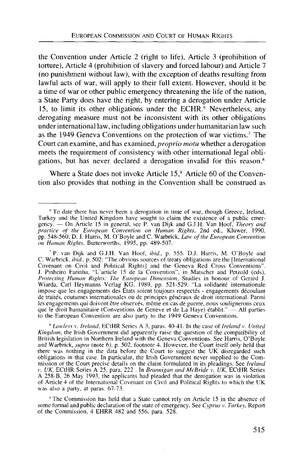the Convention under Article 2 (right to life), Article 3 (prohibition of torture), Article 4 (prohibition of slavery and forced labour) and Article 7 (no punishment without law), with the exception of deaths resulting from lawful acts of war, will apply to their full extent. However, should it be a time of war or other public emergency threatening the life of the nation, a State Party does have the right, by entering a derogation under Article 15, to limit its other obligations under the ECHR. $\frac{6}{5}$  Nevertheless, any derogating measure must not be inconsistent with its other obligations under international law, including obligations under humanitarian law such as the 1949 Geneva Conventions on the protection of war victims.<sup>7</sup> The Court can examine, and has examined, *proprio motu* whether a derogation meets the requirement of consistency with other international legal obligations, but has never declared a derogation invalid for this reason.<sup>8</sup>

Where a State does not invoke Article  $15$ , Article 60 of the Convention also provides that nothing in the Convention shall be construed as

8  *Lawless v. Ireland,* ECtHR Series A 3, paras. 40-41. In the case of *Ireland* v. *United Kingdom,* the Irish Government did apparently raise the question of the compatibility of British legislation in Northern Ireland with the Geneva Conventions. See Harris, O'Boyle and Warbrick, *supra* (note 6), p. 502, footnote 4. However, the Court itself only held that there was nothing in the data before the Court to suggest the UK disregarded such obligations in that case. In particular, the Irish Government never supplied to the Commission or the Court precise details on the claim formulated in its pleadings. See *Ireland v. UK,* ECtHR Series A 25, para. 222 . In *Brannigan and McBride v. UK,* ECtHR Series A 258-B, 26 May 1993, the applicants had pleaded that the derogation was in violation of Article 4 of the International Covenant on Civil and Political Rights to which the UK was also a party, at paras. 67-73.

<sup>9</sup> The Commission has held that a State cannot rely on Article 15 in the absence of some formal and public declaration of the state of emergency. See *Cyprus* v. *Turkey,* Report of the Commission, 4 EHRR 482 and 556, para. 528.

<sup>&</sup>lt;sup>6</sup> To date there has never been a derogation in time of war, though Greece, Ireland, Turkey and the United Kingdom have sought to claim the existence of a public emergency. — On Article 15 in general, see P. van Dijk and GJ.H. Van Hoof, *Theory and practice of the European Convention on Human Rights,* 2nd ed., Kluwer, 1990, pp. 548-560; D. J. Harris, M. O'Boyle and C. Warbrick, *Law of the European Convention on Human Rights,* Butterworths, 1995, pp. 489-507.

<sup>7</sup> P. van Dijk and G.J.H. Van Hoof, *ibid.,* p. 555. D.J. Harris, M. O'Boyle and C. Warbrick, *ibid.,* p. 502: "The obvious sources of treaty obligations are the [International Covenant on Civil and Political Rights] and the Geneva Red Cross Conventions". J. Pinheiro Farinha, "L'article 15 de la Convention", in Matscher and Petzold (eds), *Protecting Human Rights: The European Dimension,* Studies in honour of Gerard J. Wiarda, Carl Heymanns Verlag KG, 1989, pp. 521-529: "La solidarite internationale impose que les engagements des États soient toujours respectés - engagements découlant de traités, coutumes internationales ou de principes généraux de droit international. Parmi les engagements qui doivent être observés, même en cas de guerre, nous soulignerons ceux que le droit humanitaire (Conventions de Genève et de La Haye) établit." — All parties to the European Convention are also party to the 1949 Geneva Conventions.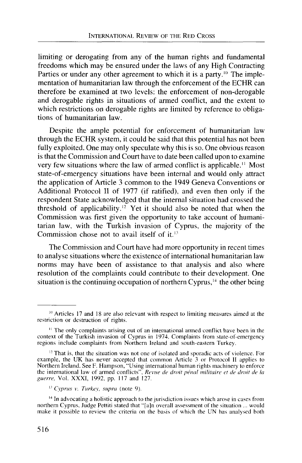limiting or derogating from any of the human rights and fundamental freedoms which may be ensured under the laws of any High Contracting Parties or under any other agreement to which it is a party.<sup>10</sup> The implementation of humanitarian law through the enforcement of the ECHR can therefore be examined at two levels: the enforcement of non-derogable and derogable rights in situations of armed conflict, and the extent to which restrictions on derogable rights are limited by reference to obligations of humanitarian law.

Despite the ample potential for enforcement of humanitarian law through the ECHR system, it could be said that this potential has not been fully exploited. One may only speculate why this is so. One obvious reason is that the Commission and Court have to date been called upon to examine very few situations where the law of armed conflict is applicable." Most state-of-emergency situations have been internal and would only attract the application of Article 3 common to the 1949 Geneva Conventions or Additional Protocol II of 1977 (if ratified), and even then only if the respondent State acknowledged that the internal situation had crossed the threshold of applicability.<sup>12</sup> Yet it should also be noted that when the Commission was first given the opportunity to take account of humanitarian law, with the Turkish invasion of Cyprus, the majority of the Commission chose not to avail itself of it. $13$ 

The Commission and Court have had more opportunity in recent times to analyse situations where the existence of international humanitarian law norms may have been of assistance to that analysis and also where resolution of the complaints could contribute to their development. One situation is the continuing occupation of northern Cyprus,<sup>14</sup> the other being

<sup>&</sup>lt;sup>10</sup> Articles 17 and 18 are also relevant with respect to limiting measures aimed at the restriction or destruction of rights.

<sup>&</sup>lt;sup>11</sup> The only complaints arising out of an international armed conflict have been in the context of the Turkish invasion of Cyprus in 1974. Complaints from state-of-emergency regions include complaints from Northern Ireland and south-eastern Turkey.

<sup>&</sup>lt;sup>12</sup> That is, that the situation was not one of isolated and sporadic acts of violence. For example, the UK has never accepted that common Article 3 or Protocol II applies to Northern Ireland. See F. Hampson, "Using international human rights machinery to enforce the international law of armed conflicts", *Revue de droit pencil militaire et de clroit de la guerre,* Vol. XXXI, 1992, pp. 117 and 127.

<sup>&</sup>quot; *Cyprus* v. *Turkey, supra* (note 9).

<sup>&</sup>lt;sup>14</sup> In advocating a holistic approach to the jurisdiction issues which arose in cases from northern Cyprus. Judge Pettiti stated that "[a]n overall assessment of the situation ... would make it possible to review the criteria on the basis of which the UN has analysed both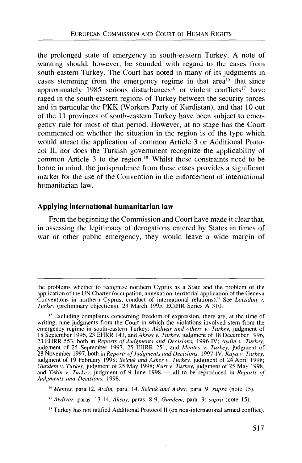the prolonged state of emergency in south-eastern Turkey. A note of warning should, however, be sounded with regard to the cases from south-eastern Turkey. The Court has noted in many of its judgments in cases stemming from the emergency regime in that area<sup>15</sup> that since approximately 1985 serious disturbances<sup>16</sup> or violent conflicts<sup>17</sup> have raged in the south-eastern regions of Turkey between the security forces and in particular the PKK (Workers Party of Kurdistan), and that 10 out of the 11 provinces of south-eastern Turkey have been subject to emergency rule for most of that period. However, at no stage has the Court commented on whether the situation in the region is of the type which would attract the application of common Article 3 or Additional Protocol II, nor does the Turkish government recognize the applicability of common Article 3 to the region.<sup>18</sup> Whilst these constraints need to be borne in mind, the jurisprudence from these cases provides a significant marker for the use of the Convention in the enforcement of international humanitarian law.

## **Applying international humanitarian law**

From the beginning the Commission and Court have made it clear that, in assessing the legitimacy of derogations entered by States in times of war or other public emergency, they would leave a wide margin of

the problems whether to recognise northern Cyprus as a State and the problem of the application of the UN Charter (occupation, annexation, territorial application of the Geneva Conventions in northern Cyprus, conduct of international relations)." See *Loizidou v. Turkey* (preliminary objections), 23 March 1995, ECtHR Series A 310.

<sup>&</sup>lt;sup>15</sup> Excluding complaints concerning freedom of expression, there are, at the time of writing, nine judgments from the Court in which the violations involved stem from the emergency regime in south-eastern Turkey: *Akdivar and others v. Turkey,* judgment of 18 September 1996, 23 EHRR 143, and *Aksoy v. Turkey,* judgment of 18 December 1996, 23 EHRR 553, both in *Reports of Judgments and Decisions,* 1996-IV; *Aydin v. Turkey,* judgment of 25 September 1997, 25 EHRR 251, and *Mentes v. Turkey,* judgment of 28 November 1997, both in *Reports of Judgments and Decisions,* 1997-IV; *Kaya v. Turkey,* judgment of 19 February 1998; *Selcuk and Asker v. Turkey,* judgment of 24 April 1998; *Gundem v. Turkey,* judgment of 25 May 1998; *Kurt v. Turkey,* judgment of 25 May 1998, and *Tekin v. Turkey,* judgment of 9 June 1998 — all to be reproduced in *Reports of Judgments and Decisions,* 1998.

<sup>16</sup>  *Mentes,* para. 12, *Aydin,* para. 14, *Selcuk and Asker,* para. 9: *supra* (note 15).

*<sup>&</sup>quot; Akdivar,* paras. 13-14, *Aksoy,* paras. 8-9, *Gundem,* para. 9: *supra* (note 15).

<sup>&</sup>lt;sup>18</sup> Turkey has not ratified Additional Protocol II (on non-international armed conflict).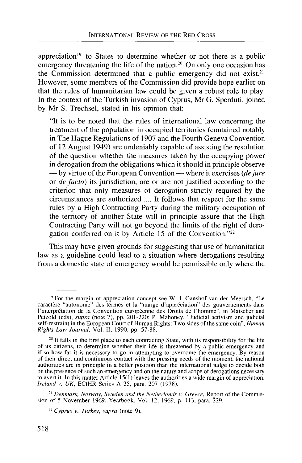appreciation<sup>19</sup> to States to determine whether or not there is a public emergency threatening the life of the nation.<sup>20</sup> On only one occasion has the Commission determined that a public emergency did not exist.<sup>21</sup> However, some members of the Commission did provide hope earlier on that the rules of humanitarian law could be given a robust role to play. In the context of the Turkish invasion of Cyprus, Mr G. Sperduti, joined by Mr S. Trechsel, stated in his opinion that:

"It is to be noted that the rules of international law concerning the treatment of the population in occupied territories (contained notably in The Hague Regulations of 1907 and the Fourth Geneva Convention of 12 August 1949) are undeniably capable of assisting the resolution of the question whether the measures taken by the occupying power in derogation from the obligations which it should in principle observe — by virtue of the European Convention — where it exercises *(dejure* or *de facto)* its jurisdiction, are or are not justified according to the criterion that only measures of derogation strictly required by the circumstances are authorized .... It follows that respect for the same rules by a High Contracting Party during the military occupation of the territory of another State will in principle assure that the High Contracting Party will not go beyond the limits of the right of derogation conferred on it by Article 15 of the Convention."<sup>22</sup>

This may have given grounds for suggesting that use of humanitarian law as a guideline could lead to a situation where derogations resulting from a domestic state of emergency would be permissible only where the

21  *Denmark, Norway, Sweden and the Netherlands* v. *Greece,* Report of the Commission of 5 November 1969, Yearbook, Vol. 12, 1969, p. 113, para. 229.

22  *Cyprus v. Turkey, supra* (note 9).

*<sup>19</sup>* For the margin of appreciation concept see W. J. Ganshof van der Meersch, "Le caractère "autonome" des termes et la "marge d'appréciation" des gouvernements dans 1'interpretation de la Convention europeenne des Droits de l'homme", in Matscher and Petzold (eds), *supra* (note 7), pp. 201-220; P. Mahoney, "Judicial activism and judicial self-restraint in the European Court of Human Rights: Two sides of the same coin", *Human Rights Law Journal,* Vol. II, 1990, pp. 57-88.

<sup>&</sup>lt;sup>20</sup> It falls in the first place to each contracting State, with its responsibility for the life of its citizens, to determine whether their life is threatened by a public emergency and if so how far it is necessary to go in attempting to overcome the emergency. By reason of their direct and continuous contact with the pressing needs of the moment, the national authorities are in principle in a better position than the international judge to decide both on the presence of such an emergency and on the nature and scope of derogations necessary to avert it. In this matter Article  $15(1)$  leaves the authorities a wide margin of appreciation. *Ireland v. UK,* ECtHR Series A 25, para. 207 (1978).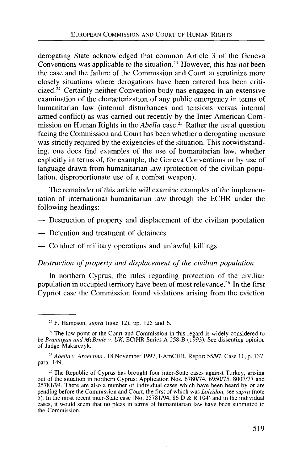derogating State acknowledged that common Article 3 of the Geneva Conventions was applicable to the situation.<sup>23</sup> However, this has not been the case and the failure of the Commission and Court to scrutinize more closely situations where derogations have been entered has been criticized.<sup>24</sup> Certainly neither Convention body has engaged in an extensive examination of the characterization of any public emergency in terms of humanitarian law (internal disturbances and tensions versus internal armed conflict) as was carried out recently by the Inter-American Commission on Human Rights in the *Abella* case.<sup>25</sup> Rather the usual question facing the Commission and Court has been whether a derogating measure was strictly required by the exigencies of the situation. This notwithstanding, one does find examples of the use of humanitarian law, whether explicitly in terms of, for example, the Geneva Conventions or by use of language drawn from humanitarian law (protection of the civilian population, disproportionate use of a combat weapon).

The remainder of this article will examine examples of the implementation of international humanitarian law through the ECHR under the following headings:

- Destruction of property and displacement of the civilian population
- Detention and treatment of detainees
- Conduct of military operations and unlawful killings

#### *Destruction of property and displacement of the civilian population*

In northern Cyprus, the rules regarding protection of the civilian population in occupied territory have been of most relevance.<sup>26</sup> In the first Cypriot case the Commission found violations arising from the eviction

 $2<sup>3</sup>$  F. Hampson, *supra* (note 12), pp. 125 and 6.

<sup>&</sup>lt;sup>24</sup> The low point of the Court and Commission in this regard is widely considered to be *Brannigan and McBride v. UK,* ECtHR Series A 258-B (1993). See dissenting opinion of Judge Makarczyk.

<sup>25</sup>  *Abella* v. *Argentina* , 18 November 1997,1-AmCHR, Report 55/97, Case 11, p. 137, para. 149.

<sup>&</sup>lt;sup>26</sup> The Republic of Cyprus has brought four inter-State cases against Turkey, arising out of the situation in northern Cyprus: Application Nos. 6780/74, 6950/75, 8007/77 and 25781/94. There are also a number of individual cases which have been heard by or are pending before the Commission and Court, the first of which was *Loizidou,* see *supra* (note 5). In the most recent inter-State case (No. 25781/94, 86 D & R 104) and in the individual cases, it would seem that no pleas in terms of humanitarian law have been submitted to the Commission.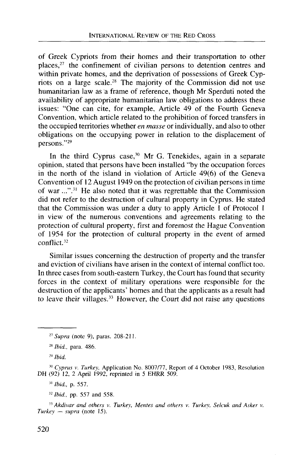of Greek Cypriots from their homes and their transportation to other places,<sup>27</sup> the confinement of civilian persons to detention centres and within private homes, and the deprivation of possessions of Greek Cypriots on a large scale.<sup>28</sup> The majority of the Commission did not use humanitarian law as a frame of reference, though Mr Sperduti noted the availability of appropriate humanitarian law obligations to address these issues: "One can cite, for example, Article 49 of the Fourth Geneva Convention, which article related to the prohibition of forced transfers in the occupied territories whether *en masse* or individually, and also to other obligations on the occupying power in relation to the displacement of persons."<sup>29</sup>

In the third Cyprus case,<sup>30</sup> Mr G. Tenekides, again in a separate opinion, stated that persons have been installed "by the occupation forces in the north of the island in violation of Article 49(6) of the Geneva Convention of 12 August 1949 on the protection of civilian persons in time of war ...".<sup>31</sup> He also noted that it was regrettable that the Commission did not refer to the destruction of cultural property in Cyprus. He stated that the Commission was under a duty to apply Article 1 of Protocol 1 in view of the numerous conventions and agreements relating to the protection of cultural property, first and foremost the Hague Convention of 1954 for the protection of cultural property in the event of armed conflict.<sup>32</sup>

Similar issues concerning the destruction of property and the transfer and eviction of civilians have arisen in the context of internal conflict too. In three cases from south-eastern Turkey, the Court has found that security forces in the context of military operations were responsible for the destruction of the applicants' homes and that the applicants as a result had to leave their villages.<sup>33</sup> However, the Court did not raise any questions

11  *Ibid.,* p. 557.

32  *Ibid.,* pp. 557 and 558.

33  *Akdivar and others v. Turkey, Mentes and others v. Turkey, Selcuk and Asker v. Turkey* — *supra* (note 15).

*<sup>21</sup> Supra* (note 9), paras. 208-211.

<sup>28</sup>  *Ibid.,* para. 486.

<sup>29</sup>  *Ibid.*

<sup>&</sup>lt;sup>30</sup> Cyprus v. Turkey, Application No. 8007/77, Report of 4 October 1983, Resolution DH (92) 12, 2 April 1992, reprinted in 5 EHRR 509.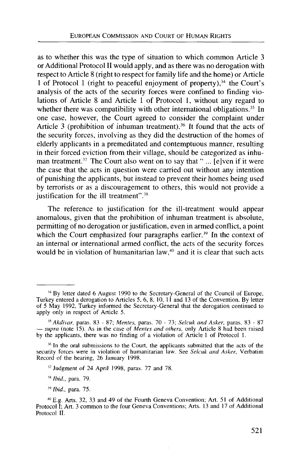as to whether this was the type of situation to which common Article 3 or Additional Protocol II would apply, and as there was no derogation with respect to Article 8 (right to respect for family life and the home) or Article 1 of Protocol 1 (right to peaceful enjoyment of property),<sup>34</sup> the Court's analysis of the acts of the security forces were confined to finding violations of Article 8 and Article 1 of Protocol 1, without any regard to whether there was compatibility with other international obligations.<sup>35</sup> In one case, however, the Court agreed to consider the complaint under Article 3 (prohibition of inhuman treatment).<sup>36</sup> It found that the acts of the security forces, involving as they did the destruction of the homes of elderly applicants in a premeditated and contemptuous manner, resulting in their forced eviction from their village, should be categorized as inhuman treatment.<sup>37</sup> The Court also went on to say that " $\ldots$  [e]ven if it were the case that the acts in question were carried out without any intention of punishing the applicants, but instead to prevent their homes being used by terrorists or as a discouragement to others, this would not provide a justification for the ill treatment".<sup>38</sup>

The reference to justification for the ill-treatment would appear anomalous, given that the prohibition of inhuman treatment is absolute, permitting of no derogation or justification, even in armed conflict, a point which the Court emphasized four paragraphs earlier.<sup>39</sup> In the context of an internal or international armed conflict, the acts of the security forces would be in violation of humanitarian law,<sup>40</sup> and it is clear that such acts

*Ibid.,* para. 79.

<sup>&</sup>lt;sup>34</sup> By letter dated 6 August 1990 to the Secretary-General of the Council of Europe, Turkey entered a derogation to Articles 5, 6, 8, 10, 11 and 13 of the Convention. By letter of 5 May 1992, Turkey informed the Secretary-General that the derogation continued to apply only in respect of Article 5.

<sup>35</sup>  *Akdivar,* paras. 83 - 87; *Mentes,* paras. 70 - 73; *Selcuk and Asker,* paras. 83 - 87 — *supra* (note 15). As in the case of *Mentes and others,* only Article 8 had been raised by the applicants, there was no finding of a violation of Article 1 of Protocol 1.

<sup>&</sup>lt;sup>36</sup> In the oral submissions to the Court, the applicants submitted that the acts of the security forces were in violation of humanitarian law. See *Selcuk and Asker,* Verbatim Record of the hearing, 26 January 1998.

**<sup>37</sup>** Judgment of 24 April 1998, paras. 77 and 78.

<sup>39</sup>  *Ibid.,* para. 75.

<sup>\*</sup> E.g. Arts. 32, 33 and 49 of the Fourth Geneva Convention; Art. 51 of Additional Protocol I; Art. 3 common to the four Geneva Conventions; Arts. 13 and 17 of Additional Protocol II.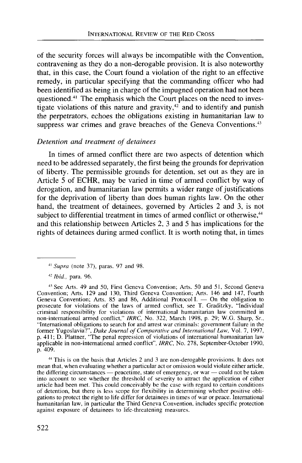of the security forces will always be incompatible with the Convention, contravening as they do a non-derogable provision. It is also noteworthy that, in this case, the Court found a violation of the right to an effective remedy, in particular specifying that the commanding officer who had been identified as being in charge of the impugned operation had not been questioned.<sup>41</sup> The emphasis which the Court places on the need to investigate violations of this nature and gravity, $42$  and to identify and punish the perpetrators, echoes the obligations existing in humanitarian law to suppress war crimes and grave breaches of the Geneva Conventions.<sup>43</sup>

# *Detention and treatment of detainees*

In times of armed conflict there are two aspects of detention which need to be addressed separately, the first being the grounds for deprivation of liberty. The permissible grounds for detention, set out as they are in Article 5 of ECHR, may be varied in time of armed conflict by way of derogation, and humanitarian law permits a wider range of justifications for the deprivation of liberty than does human rights law. On the other hand, the treatment of detainees, governed by Articles 2 and 3, is not subject to differential treatment in times of armed conflict or otherwise,<sup>44</sup> and this relationship between Articles 2, 3 and 5 has implications for the rights of detainees during armed conflict. It is worth noting that, in times

<sup>41</sup>  *Supra* (note 37), paras. 97 and 98.

<sup>42</sup>  *Ibid.,* para. 96.

<sup>43</sup> See Arts. 49 and 50, First Geneva Convention; Arts. 50 and 51, Second Geneva Convention; Arts. 129 and 130, Third Geneva Convention; Arts. 146 and 147, Fourth Geneva Convention; Arts. 85 and 86, Additional Protocol I. — On the obligation to prosecute for violations of the laws of armed conflict, see T. Graditzky, "Individual criminal responsibility for violations of international humanitarian law committed in non-international armed conflict," *1RRC,* No. 322, March 1998, p. 29; W.G. Sharp, Sr., "International obligations to search for and arrest war criminals: government failure in the former Yugoslavia?", *Duke Journal of Comparative and International Law,* Vol. 7, 1997, p. 411; D. Plattner, "The penal repression of violations of international humanitarian law applicable in non-international armed conflict", *IRRC,* No. 278, September-October 1990, p. 409.

<sup>44</sup> This is on the basis that Articles 2 and 3 are non-derogable provisions. It does not mean that, when evaluating whether a particular act or omission would violate either article, the differing circumstances — peacetime, state of emergency, or war — could not be taken into account to see whether the threshold of severity to attract the application of either article had been met. This could conceivably be the case with regard to certain conditions of detention, but there is less scope for flexibility in determining whether positive obligations to protect the right to life differ for detainees in times of war or peace. International humanitarian law, in particular the Third Geneva Convention, includes specific protection against exposure of detainees to life-threatening measures.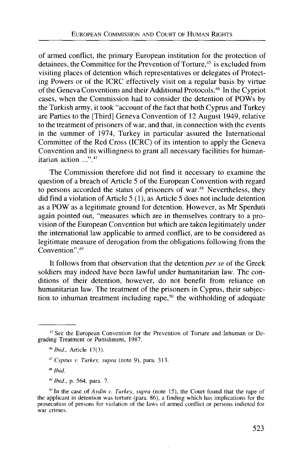of armed conflict, the primary European institution for the protection of detainees, the Committee for the Prevention of Torture,<sup>45</sup> is excluded from visiting places of detention which representatives or delegates of Protecting Powers or of the ICRC effectively visit on a regular basis by virtue of the Geneva Conventions and their Additional Protocols.<sup>46</sup> In the Cypriot cases, when the Commission had to consider the detention of POWs by the Turkish army, it took "account of the fact that both Cyprus and Turkey are Parties to the [Third] Geneva Convention of 12 August 1949, relative to the treatment of prisoners of war, and that, in connection with the events in the summer of 1974, Turkey in particular assured the International Committee of the Red Cross (ICRC) of its intention to apply the Geneva Convention and its willingness to grant all necessary facilities for humanitarian action ...".47

The Commission therefore did not find it necessary to examine the question of a breach of Article 5 of the European Convention with regard to persons accorded the status of prisoners of war.<sup>48</sup> Nevertheless, they did find a violation of Article 5 (1), as Article 5 does not include detention as a POW as a legitimate ground for detention. However, as Mr Sperduti again pointed out, "measures which are in themselves contrary to a provision of the European Convention but which are taken legitimately under the international law applicable to armed conflict, are to be considered as legitimate measure of derogation from the obligations following from the Convention".<sup>49</sup>

It follows from that observation that the detention *per se* of the Greek soldiers may indeed have been lawful under humanitarian law. The conditions of their detention, however, do not benefit from reliance on humanitarian law. The treatment of the prisoners in Cyprus, their subjection to inhuman treatment including rape,<sup>50</sup> the withholding of adequate

<sup>&</sup>lt;sup>45</sup> See the European Convention for the Prevention of Torture and Inhuman or Degrading Treatment or Punishment, 1987.

*MIbid,* Article 17(3).

<sup>47</sup>  *Cyprus v. Turkey, supra* (note 9), para. 313.

<sup>48</sup>  *Ibid.*

<sup>49</sup>  *Ibid.,* p. 564, para. 7.

<sup>50</sup> In the case of *Ay din v. Turkey, supra* (note 15), the Court found that the rape of the applicant in detention was torture (para. 86), a finding which has implications for the prosecution of persons for violation of the laws of armed conflict or persons indicted for war crimes.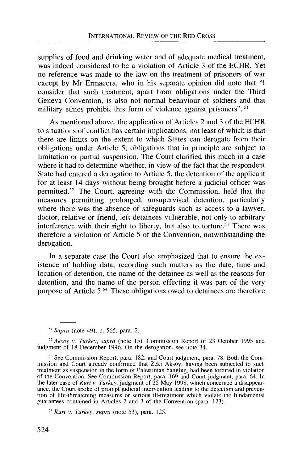supplies of food and drinking water and of adequate medical treatment, was indeed considered to be a violation of Article 3 of the ECHR. Yet no reference was made to the law on the treatment of prisoners of war except by Mr Ermacora, who in his separate opinion did note that "I consider that such treatment, apart from obligations under the Third Geneva Convention, is also not normal behaviour of soldiers and that military ethics prohibit this form of violence against prisoners". <sup>51</sup>

As mentioned above, the application of Articles 2 and 3 of the ECHR to situations of conflict has certain implications, not least of which is that there are limits on the extent to which States can derogate from their obligations under Article 5, obligations that in principle are subject to limitation or partial suspension. The Court clarified this much in a case where it had to determine whether, in view of the fact that the respondent State had entered a derogation to Article 5, the detention of the applicant for at least 14 days without being brought before a judicial officer was permitted.<sup>52</sup> The Court, agreeing with the Commission, held that the measures permitting prolonged, unsupervised detention, particularly where there was the absence of safeguards such as access to a lawyer, doctor, relative or friend, left detainees vulnerable, not only to arbitrary interference with their right to liberty, but also to torture.<sup>53</sup> There was therefore a violation of Article 5 of the Convention, notwithstanding the derogation.

In a separate case the Court also emphasized that to ensure the existence of holding data, recording such matters as the date, time and location of detention, the name of the detainee as well as the reasons for detention, and the name of the person effecting it was part of the very purpose of Article 5.<sup>54</sup> These obligations owed to detainees are therefore

 $54$  Kurt v. Turkey, supra (note 53), para, 125.  *Kurt v. Turkey, supra* (note 53), para. 125.

<sup>51</sup>  *Supra* (note 49), p. 565, para. 2.

*<sup>52</sup> Aksoy v. Turkey, supra* (note 15), Commission Report of 23 October 1995 and judgment of 18 December 1996. On the derogation, see note 34.

<sup>53</sup> See Commission Report, para. 182, and Court judgment, para. 78. Both the Commission and Court already confirmed that Zeki Aksoy, having been subjected to such treatment as suspension in the form of Palestinian hanging, had been tortured in violation of the Convention. See Commission Report, para. 169 and Court judgment, para. 64. In the later case of *Kurt v. Turkey,* judgment of 25 May 1998, which concerned a disappearance, the Court spoke of prompt judicial intervention leading to the detection and prevention of life-threatening measures or serious ill-treatment which violate the fundamental guarantees contained in Articles 2 and 3 of the Convention (para. 123).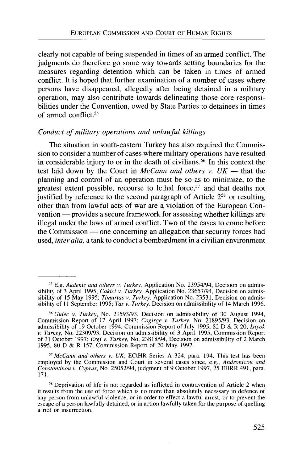clearly not capable of being suspended in times of an armed conflict. The judgments do therefore go some way towards setting boundaries for the measures regarding detention which can be taken in times of armed conflict. It is hoped that further examination of a number of cases where persons have disappeared, allegedly after being detained in a military operation, may also contribute towards delineating those core responsibilities under the Convention, owed by State Parties to detainees in times of armed conflict.<sup>55</sup>

#### *Conduct of military operations and unlawful killings*

The situation in south-eastern Turkey has also required the Commission to consider a number of cases where military operations have resulted in considerable injury to or in the death of civilians.<sup>56</sup> In this context the test laid down by the Court in *McCann and others v. UK* — that the planning and control of an operation must be so as to minimize, to the greatest extent possible, recourse to lethal force,<sup>57</sup> and that deaths not justified by reference to the second paragraph of Article 2<sup>58</sup> or resulting other than from lawful acts of war are a violation of the European Convention — provides a secure framework for assessing whether killings are illegal under the laws of armed conflict. Two of the cases to come before the Commission — one concerning an allegation that security forces had used, *inter alia,* a tank to conduct a bombardment in a civilian environment

57  *McCann and others v. UK,* ECtHR Series A 324, para. 194. This test has been employed by the Commission and Court in several cases since, e.g., *Andronicou and Constantinou v. Cyprus,* No. 25052/94, judgment of 9 October 1997, 25 EHRR 491, para. 171.

<sup>55</sup> E.g. *Akdeniz and others v. Turkey,* Application No. 23954/94, Decision on admissibility of 3 April 1995; *Cakici v. Turkey,* Application No. 23657/94, Decision on admissibility of 15 May 1995; *Timurtas v. Turkey,* Application No. 23531, Decision on admissibility of 11 September 1995; *Tas* v. *Turkey,* Decision on admissibility of 14 March 1996.

*ibGulec v. Turkey,* No. 21593/93, Decision on admissibility of 30 August 1994, Commission Report of 17 April 1997; *Cagirge v. Turkey,* No. 21895/93, Decision on admissibility of 19 October 1994, Commission Report of July 1995, 82 D & R 20; *Isiyok v. Turkey,* No. 22309/93, Decision on admissibility of 3 April 1995, Commission Report of 31 October 1997; *Ergi v. Turkey,* No. 23818/94, Decision on admissibility of 2 March 1995, 80 D & R 157, Commission Report of 20 May 1997.

<sup>&</sup>lt;sup>58</sup> Deprivation of life is not regarded as inflicted in contravention of Article 2 when it results from the use of force which is no more than absolutely necessary in defence of any person from unlawful violence, or in order to effect a lawful arrest, or to prevent the escape of a person lawfully detained, or in action lawfully taken for the purpose of quelling a riot or insurrection.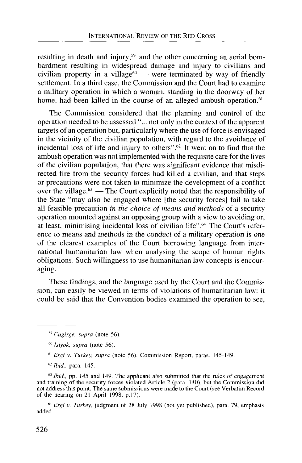resulting in death and injury,<sup>59</sup> and the other concerning an aerial bombardment resulting in widespread damage and injury to civilians and civilian property in a village $60$  — were terminated by way of friendly settlement. In a third case, the Commission and the Court had to examine a military operation in which a woman, standing in the doorway of her home, had been killed in the course of an alleged ambush operation.<sup>61</sup>

The Commission considered that the planning and control of the operation needed to be assessed "... not only in the context of the apparent targets of an operation but, particularly where the use of force is envisaged in the vicinity of the civilian population, with regard to the avoidance of incidental loss of life and injury to others".<sup>62</sup> It went on to find that the ambush operation was not implemented with the requisite care for the lives of the civilian population, that there was significant evidence that misdirected fire from the security forces had killed a civilian, and that steps or precautions were not taken to minimize the development of a conflict over the village.<sup>63</sup> — The Court explicitly noted that the responsibility of the State "may also be engaged where [the security forces] fail to take all feasible precaution *in the choice of means and methods* of a security operation mounted against an opposing group with a view to avoiding or, at least, minimising incidental loss of civilian life".<sup>64</sup> The Court's reference to means and methods in the conduct of a military operation is one of the clearest examples of the Court borrowing language from international humanitarian law when analysing the scope of human rights obligations. Such willingness to use humanitarian law concepts is encouraging.

These findings, and the language used by the Court and the Commission, can easily be viewed in terms of violations of humanitarian law: it could be said that the Convention bodies examined the operation to see,

<sup>63</sup> Ibid., pp. 145 and 149. The applicant also submitted that the rules of engagement and training of the security forces violated Article 2 (para. 140), but the Commission did not address this point. The same submissions were made to the Court (see Verbatim Record of the hearing on 21 April 1998, p.17).

<sup>64</sup> Ergi v. Turkey, judgment of 28 July 1998 (not yet published), para. 79, emphasis added.

<sup>59</sup>  *Cagirge, supra* (note 56).

<sup>60</sup>  *Isiyok, supra* (note 56).

<sup>61</sup>  *Ergi v. Turkey, supra* (note 56). Commission Report, paras. 145-149.

<sup>62</sup>  *Ibid.,* para. 145.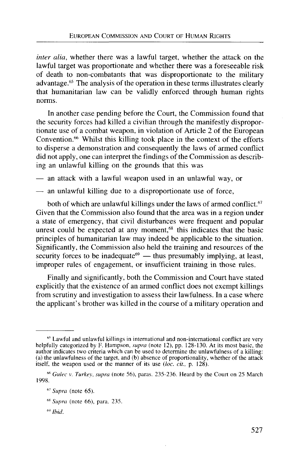*inter alia,* whether there was a lawful target, whether the attack on the lawful target was proportionate and whether there was a foreseeable risk of death to non-combatants that was disproportionate to the military advantage.<sup>65</sup> The analysis of the operation in these terms illustrates clearly that humanitarian law can be validly enforced through human rights norms.

In another case pending before the Court, the Commission found that the security forces had killed a civilian through the manifestly disproportionate use of a combat weapon, in violation of Article 2 of the European Convention.<sup>66</sup> Whilst this killing took place in the context of the efforts to disperse a demonstration and consequently the laws of armed conflict did not apply, one can interpret the findings of the Commission as describing an unlawful killing on the grounds that this was

— an attack with a lawful weapon used in an unlawful way, or

— an unlawful killing due to a disproportionate use of force,

both of which are unlawful killings under the laws of armed conflict.<sup>67</sup> Given that the Commission also found that the area was in a region under a state of emergency, that civil disturbances were frequent and popular unrest could be expected at any moment,<sup>68</sup> this indicates that the basic principles of humanitarian law may indeed be applicable to the situation. Significantly, the Commission also held the training and resources of the security forces to be inadequate<sup>69</sup> — thus presumably implying, at least, improper rules of engagement, or insufficient training in those rules.

Finally and significantly, both the Commission and Court have stated explicitly that the existence of an armed conflict does not exempt killings from scrutiny and investigation to assess their lawfulness. In a case where the applicant's brother was killed in the course of a military operation and

<sup>&</sup>lt;sup>65</sup> Lawful and unlawful killings in international and non-international conflict are very helpfully categorized by F. Hampson, *supra* (note 12), pp. 128-130. At its most basic, the author indicates two criteria which can be used to determine the unlawfulness of a killing: (a) the unlawfulness of the target, and (b) absence of proportionality, whether of the attack itself, the weapon used or the manner of its use *(loc. cit.,* p. 128).

*<sup>\*\*</sup> Gulec v. Turkey, supra* (note 56), paras. 235-236. Heard by the Court on 25 March 1998.

<sup>67</sup>  *Supra* (note 65).

<sup>68</sup>  *Supra* (note 66), para. 235.

<sup>w</sup> *Ibid.*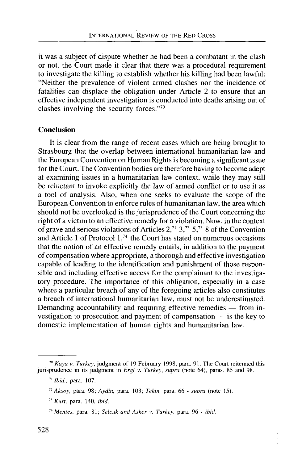it was a subject of dispute whether he had been a combatant in the clash or not, the Court made it clear that there was a procedural requirement to investigate the killing to establish whether his killing had been lawful: "Neither the prevalence of violent armed clashes nor the incidence of fatalities can displace the obligation under Article 2 to ensure that an effective independent investigation is conducted into deaths arising out of clashes involving the security forces."<sup>70</sup>

## **Conclusion**

It is clear from the range of recent cases which are being brought to Strasbourg that the overlap between international humanitarian law and the European Convention on Human Rights is becoming a significant issue for the Court. The Convention bodies are therefore having to become adept at examining issues in a humanitarian law context, while they may still be reluctant to invoke explicitly the law of armed conflict or to use it as a tool of analysis. Also, when one seeks to evaluate the scope of the European Convention to enforce rules of humanitarian law, the area which should not be overlooked is the jurisprudence of the Court concerning the right of a victim to an effective remedy for a violation. Now, in the context of grave and serious violations of Articles 2,<sup>71</sup> 3,<sup>72</sup> 5,<sup>73</sup> 8 of the Convention and Article 1 of Protocol 1,74 the Court has stated on numerous occasions that the notion of an effective remedy entails, in addition to the payment of compensation where appropriate, a thorough and effective investigation capable of leading to the identification and punishment of those responsible and including effective access for the complainant to the investigatory procedure. The importance of this obligation, especially in a case where a particular breach of any of the foregoing articles also constitutes a breach of international humanitarian law, must not be underestimated. Demanding accountability and requiring effective remedies — from investigation to prosecution and payment of compensation — is the key to domestic implementation of human rights and humanitarian law.

<sup>70</sup>  *Kaya v. Turkey,* judgment of 19 February 1998, para. 91. The Court reiterated this jurisprudence in its judgment in *Ergi v. Turkey, supra* (note 64), paras. 85 and 98.

<sup>71</sup>  *Ibid.,* para. 107.

*<sup>12</sup> Aksoy,* para. 98; *Aydin,* para. 103; *Tekin,* para. 66 - *supra* (note 15).

<sup>73</sup>  *Kurt,* para. 140, *ibid.*

<sup>74</sup>  *Mentes,* para. 81; *Selcuk and Asker v. Turkey,* para. 96 - *ibid.*